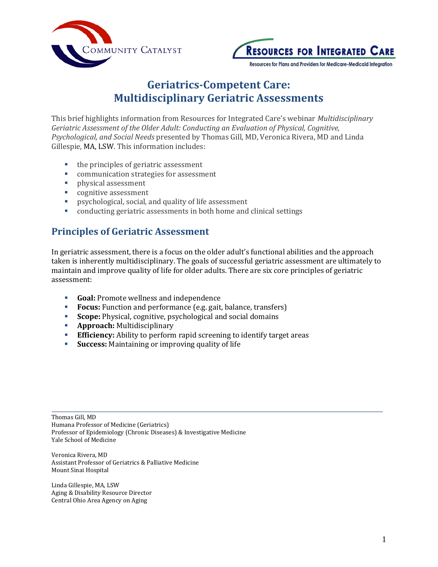



# **Geriatrics-Competent Care: Multidisciplinary Geriatric Assessments**

This brief highlights information from Resources for Integrated Care's webinar *Multidisciplinary Geriatric Assessment of the Older Adult: Conducting an Evaluation of Physical, Cognitive, Psychological, and Social Needs* presented by Thomas Gill, MD, Veronica Rivera, MD and Linda Gillespie, MA, LSW. This information includes:

- the principles of geriatric assessment
- communication strategies for assessment
- **physical assessment**
- **cognitive assessment**
- psychological, social, and quality of life assessment
- conducting geriatric assessments in both home and clinical settings

#### **Principles of Geriatric Assessment**

In geriatric assessment, there is a focus on the older adult's functional abilities and the approach taken is inherently multidisciplinary. The goals of successful geriatric assessment are ultimately to maintain and improve quality of life for older adults. There are six core principles of geriatric assessment:

- **Goal:** Promote wellness and independence
- **Focus:** Function and performance (e.g. gait, balance, transfers)
- **Scope:** Physical, cognitive, psychological and social domains
- **Approach:** Multidisciplinary
- **Efficiency:** Ability to perform rapid screening to identify target areas
- **Success:** Maintaining or improving quality of life

Thomas Gill, MD Humana Professor of Medicine (Geriatrics) Professor of Epidemiology (Chronic Diseases) & Investigative Medicine Yale School of Medicine

Veronica Rivera, MD Assistant Professor of Geriatrics & Palliative Medicine Mount Sinai Hospital

Linda Gillespie, MA, LSW Aging & Disability Resource Director Central Ohio Area Agency on Aging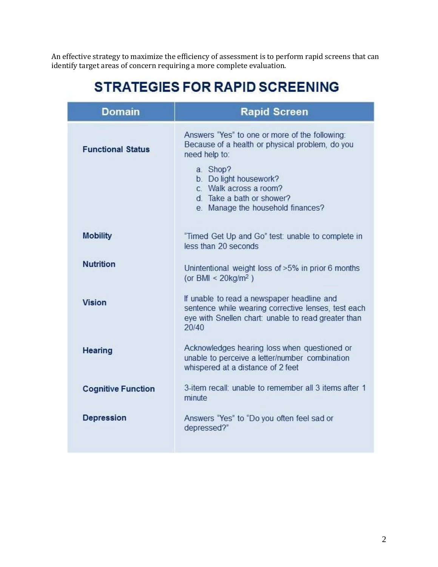An effective strategy to maximize the efficiency of assessment is to perform rapid screens that can identify target areas of concern requiring a more complete evaluation.

# **STRATEGIES FOR RAPID SCREENING**

| <b>Domain</b>             | <b>Rapid Screen</b>                                                                                                                                               |
|---------------------------|-------------------------------------------------------------------------------------------------------------------------------------------------------------------|
| <b>Functional Status</b>  | Answers "Yes" to one or more of the following:<br>Because of a health or physical problem, do you<br>need help to:<br>a. Shop?                                    |
|                           | b. Do light housework?<br>c. Walk across a room?<br>d. Take a bath or shower?<br>e. Manage the household finances?                                                |
| <b>Mobility</b>           | "Timed Get Up and Go" test: unable to complete in<br>less than 20 seconds                                                                                         |
| <b>Nutrition</b>          | Unintentional weight loss of >5% in prior 6 months<br>(or BMI < $20kg/m^2$ )                                                                                      |
| <b>Vision</b>             | If unable to read a newspaper headline and<br>sentence while wearing corrective lenses, test each<br>eye with Snellen chart: unable to read greater than<br>20/40 |
| <b>Hearing</b>            | Acknowledges hearing loss when questioned or<br>unable to perceive a letter/number combination<br>whispered at a distance of 2 feet                               |
| <b>Cognitive Function</b> | 3-item recall: unable to remember all 3 items after 1<br>minute                                                                                                   |
| <b>Depression</b>         | Answers "Yes" to "Do you often feel sad or<br>depressed?"                                                                                                         |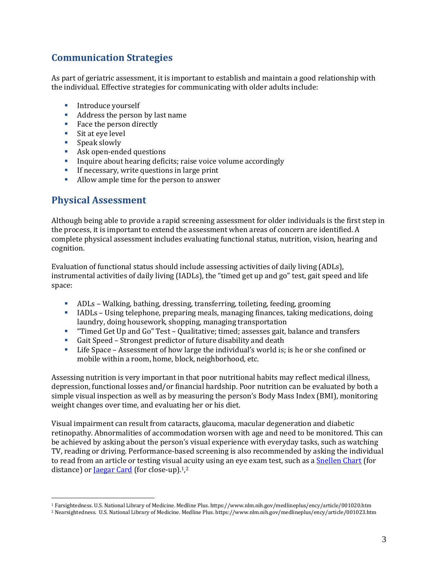### **Communication Strategies**

As part of geriatric assessment, it is important to establish and maintain a good relationship with the individual. Effective strategies for communicating with older adults include:

- **Introduce yourself**
- Address the person by last name
- Face the person directly
- Sit at eye level
- Speak slowly
- **Ask open-ended questions**
- Inquire about hearing deficits; raise voice volume accordingly
- If necessary, write questions in large print
- Allow ample time for the person to answer

#### **Physical Assessment**

 $\overline{a}$ 

Although being able to provide a rapid screening assessment for older individuals is the first step in the process, it is important to extend the assessment when areas of concern are identified. A complete physical assessment includes evaluating functional status, nutrition, vision, hearing and cognition.

Evaluation of functional status should include assessing activities of daily living (ADLs), instrumental activities of daily living (IADLs), the "timed get up and go" test, gait speed and life space:

- ADLs Walking, bathing, dressing, transferring, toileting, feeding, grooming
- IADLs Using telephone, preparing meals, managing finances, taking medications, doing laundry, doing housework, shopping, managing transportation
- "Timed Get Up and Go" Test Qualitative; timed; assesses gait, balance and transfers
- Gait Speed Strongest predictor of future disability and death
- Life Space Assessment of how large the individual's world is; is he or she confined or mobile within a room, home, block, neighborhood, etc.

Assessing nutrition is very important in that poor nutritional habits may reflect medical illness, depression, functional losses and/or financial hardship. Poor nutrition can be evaluated by both a simple visual inspection as well as by measuring the person's Body Mass Index (BMI), monitoring weight changes over time, and evaluating her or his diet.

Visual impairment can result from cataracts, glaucoma, macular degeneration and diabetic retinopathy. Abnormalities of accommodation worsen with age and need to be monitored. This can be achieved by asking about the person's visual experience with everyday tasks, such as watching TV, reading or driving. Performance-based screening is also recommended by asking the individual to read from an article or testing visual acuity using an eye exam test, such as [a Snellen](https://www.nlm.nih.gov/medlineplus/ency/article/001020.htm) Chart (for distance) or **Jaegar Card** (for close-up).<sup>1</sup>,<sup>2</sup>

<sup>1</sup> Farsightedness. U.S. National Library of Medicine. Medline Plus. https://www.nlm.nih.gov/medlineplus/ency/article/001020.htm

<sup>2</sup> Nearsightedness. U.S. National Library of Medicine. Medline Plus. https://www.nlm.nih.gov/medlineplus/ency/article/001023.htm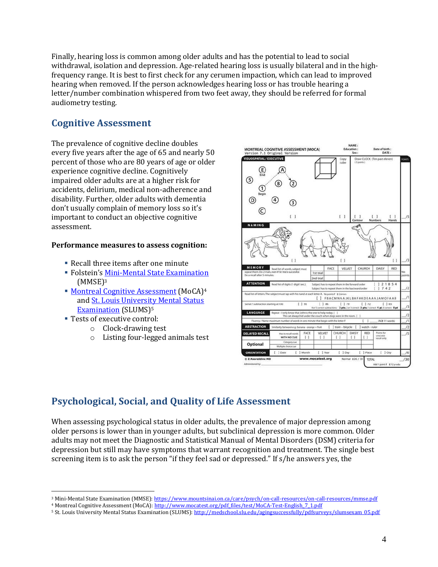Finally, hearing loss is common among older adults and has the potential to lead to social withdrawal, isolation and depression. Age-related hearing loss is usually bilateral and in the highfrequency range. It is best to first check for any cerumen impaction, which can lead to improved hearing when removed. If the person acknowledges hearing loss or has trouble hearing a letter/number combination whispered from two feet away, they should be referred for formal audiometry testing.

#### **Cognitive Assessment**

The prevalence of cognitive decline doubles every five years after the age of 65 and nearly 50 percent of those who are 80 years of age or older experience cognitive decline. Cognitively impaired older adults are at a higher risk for accidents, delirium, medical non-adherence and disability. Further, older adults with dementia don't usually complain of memory loss so it's important to conduct an objective cognitive assessment.

#### **Performance measures to assess cognition:**

- Recall three items after one minute
- **Folstein's [Mini-Mental State Examination](https://www.mountsinai.on.ca/care/psych/on-call-resources/on-call-resources/mmse.pdf)**  $(MMSE)<sup>3</sup>$
- **[Montreal Cognitive Assessment](http://www.mocatest.org/pdf_files/test/MoCA-Test-English_7_1.pdf) (MoCA)**<sup>4</sup> and [St. Louis University Mental Status](http://medschool.slu.edu/agingsuccessfully/pdfsurveys/slumsexam_05.pdf)  [Examination](http://medschool.slu.edu/agingsuccessfully/pdfsurveys/slumsexam_05.pdf) (SLUMS)<sup>5</sup>
- Tests of executive control:
	- o Clock-drawing test
	- o Listing four-legged animals test



#### **Psychological, Social, and Quality of Life Assessment**

When assessing psychological status in older adults, the prevalence of major depression among older persons is lower than in younger adults, but subclinical depression is more common. Older adults may not meet the Diagnostic and Statistical Manual of Mental Disorders (DSM) criteria for depression but still may have symptoms that warrant recognition and treatment. The single best screening item is to ask the person "if they feel sad or depressed." If s/he answers yes, the

 $\overline{a}$ <sup>3</sup> Mini-Mental State Examination (MMSE)[: https://www.mountsinai.on.ca/care/psych/on-call-resources/on-call-resources/mmse.pdf](https://www.mountsinai.on.ca/care/psych/on-call-resources/on-call-resources/mmse.pdf)

<sup>&</sup>lt;sup>4</sup> Montreal Cognitive Assessment (MoCA)[: http://www.mocatest.org/pdf\\_files/test/MoCA-Test-English\\_7\\_1.pdf](http://www.mocatest.org/pdf_files/test/MoCA-Test-English_7_1.pdf)

<sup>5</sup> St. Louis University Mental Status Examination (SLUMS)[: http://medschool.slu.edu/agingsuccessfully/pdfsurveys/slumsexam\\_05.pdf](http://medschool.slu.edu/agingsuccessfully/pdfsurveys/slumsexam_05.pdf)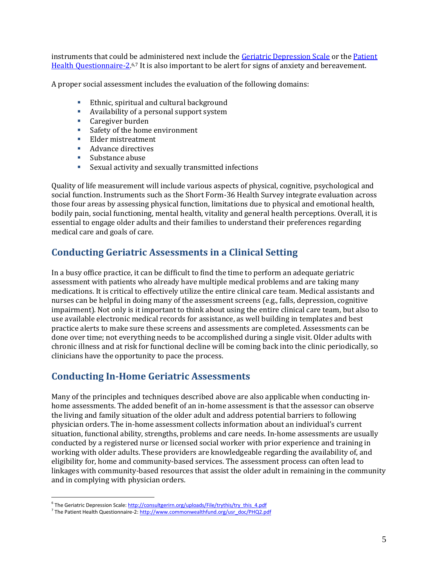instruments that could be administered next include the [Geriatric Depression Scale](http://consultgerirn.org/uploads/File/trythis/try_this_4.pdf) or the [Patient](http://www.commonwealthfund.org/usr_doc/PHQ2.pdf)  [Health Questionnaire-2.](http://www.commonwealthfund.org/usr_doc/PHQ2.pdf)6,7 It is also important to be alert for signs of anxiety and bereavement.

A proper social assessment includes the evaluation of the following domains:

- **Ethnic, spiritual and cultural background**
- Availability of a personal support system
- **Caregiver burden**
- Safety of the home environment
- **Elder mistreatment**
- **Advance directives**
- **Substance abuse**
- Sexual activity and sexually transmitted infections

Quality of life measurement will include various aspects of physical, cognitive, psychological and social function. Instruments such as the Short Form-36 Health Survey integrate evaluation across those four areas by assessing physical function, limitations due to physical and emotional health, bodily pain, social functioning, mental health, vitality and general health perceptions. Overall, it is essential to engage older adults and their families to understand their preferences regarding medical care and goals of care.

#### **Conducting Geriatric Assessments in a Clinical Setting**

In a busy office practice, it can be difficult to find the time to perform an adequate geriatric assessment with patients who already have multiple medical problems and are taking many medications. It is critical to effectively utilize the entire clinical care team. Medical assistants and nurses can be helpful in doing many of the assessment screens (e.g., falls, depression, cognitive impairment). Not only is it important to think about using the entire clinical care team, but also to use available electronic medical records for assistance, as well building in templates and best practice alerts to make sure these screens and assessments are completed. Assessments can be done over time; not everything needs to be accomplished during a single visit. Older adults with chronic illness and at risk for functional decline will be coming back into the clinic periodically, so clinicians have the opportunity to pace the process.

#### **Conducting In-Home Geriatric Assessments**

Many of the principles and techniques described above are also applicable when conducting inhome assessments. The added benefit of an in-home assessment is that the assessor can observe the living and family situation of the older adult and address potential barriers to following physician orders. The in-home assessment collects information about an individual's current situation, functional ability, strengths, problems and care needs. In-home assessments are usually conducted by a registered nurse or licensed social worker with prior experience and training in working with older adults. These providers are knowledgeable regarding the availability of, and eligibility for, home and community-based services. The assessment process can often lead to linkages with community-based resources that assist the older adult in remaining in the community and in complying with physician orders.

 $\overline{a}$ 

<sup>&</sup>lt;sup>6</sup> The Geriatric Depression Scale[: http://consultgerirn.org/uploads/File/trythis/try\\_this\\_4.pdf](http://consultgerirn.org/uploads/File/trythis/try_this_4.pdf)

<sup>&</sup>lt;sup>7</sup> The Patient Health Questionnaire-2[: http://www.commonwealthfund.org/usr\\_doc/PHQ2.pdf](http://www.commonwealthfund.org/usr_doc/PHQ2.pdf)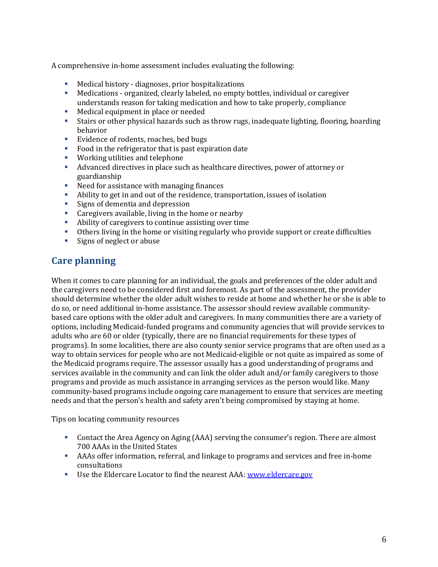A comprehensive in-home assessment includes evaluating the following:

- Medical history diagnoses, prior hospitalizations
- Medications organized, clearly labeled, no empty bottles, individual or caregiver understands reason for taking medication and how to take properly, compliance
- **Medical equipment in place or needed**
- Stairs or other physical hazards such as throw rugs, inadequate lighting, flooring, hoarding behavior
- **Evidence of rodents, roaches, bed bugs**
- Food in the refrigerator that is past expiration date
- **Working utilities and telephone**
- Advanced directives in place such as healthcare directives, power of attorney or guardianship
- Need for assistance with managing finances
- Ability to get in and out of the residence, transportation, issues of isolation
- **Signs of dementia and depression**
- Caregivers available, living in the home or nearby
- Ability of caregivers to continue assisting over time
- Others living in the home or visiting regularly who provide support or create difficulties
- **Signs of neglect or abuse**

#### **Care planning**

When it comes to care planning for an individual, the goals and preferences of the older adult and the caregivers need to be considered first and foremost. As part of the assessment, the provider should determine whether the older adult wishes to reside at home and whether he or she is able to do so, or need additional in-home assistance. The assessor should review available communitybased care options with the older adult and caregivers. In many communities there are a variety of options, including Medicaid-funded programs and community agencies that will provide services to adults who are 60 or older (typically, there are no financial requirements for these types of programs). In some localities, there are also county senior service programs that are often used as a way to obtain services for people who are not Medicaid-eligible or not quite as impaired as some of the Medicaid programs require. The assessor usually has a good understanding of programs and services available in the community and can link the older adult and/or family caregivers to those programs and provide as much assistance in arranging services as the person would like. Many community-based programs include ongoing care management to ensure that services are meeting needs and that the person's health and safety aren't being compromised by staying at home.

Tips on locating community resources

- Contact the Area Agency on Aging (AAA) serving the consumer's region. There are almost 700 AAAs in the United States
- AAAs offer information, referral, and linkage to programs and services and free in-home consultations
- Use the Eldercare Locator to find the nearest AAA: [www.eldercare.gov](http://www.eldercare.gov/)